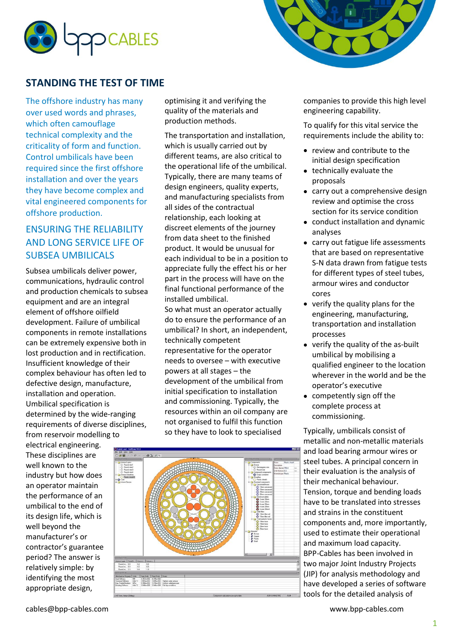



## **STANDING THE TEST OF TIME**

The offshore industry has many over used words and phrases, which often camouflage technical complexity and the criticality of form and function. Control umbilicals have been required since the first offshore installation and over the years they have become complex and vital engineered components for offshore production.

## ENSURING THE RELIABILITY AND LONG SERVICE LIFE OF SUBSEA UMBILICALS

Subsea umbilicals deliver power, communications, hydraulic control and production chemicals to subsea equipment and are an integral element of offshore oilfield development. Failure of umbilical components in remote installations can be extremely expensive both in lost production and in rectification. Insufficient knowledge of their complex behaviour has often led to defective design, manufacture, installation and operation. Umbilical specification is determined by the wide-ranging requirements of diverse disciplines, from reservoir modelling to

electrical engineering. These disciplines are well known to the industry but how does an operator maintain the performance of an umbilical to the end of its design life, which is well beyond the manufacturer's or contractor's guarantee period? The answer is relatively simple: by identifying the most appropriate design,

optimising it and verifying the quality of the materials and production methods.

The transportation and installation, which is usually carried out by different teams, are also critical to the operational life of the umbilical. Typically, there are many teams of design engineers, quality experts, and manufacturing specialists from all sides of the contractual relationship, each looking at discreet elements of the journey from data sheet to the finished product. It would be unusual for each individual to be in a position to appreciate fully the effect his or her part in the process will have on the final functional performance of the installed umbilical.

So what must an operator actually do to ensure the performance of an umbilical? In short, an independent, technically competent representative for the operator needs to oversee – with executive powers at all stages – the development of the umbilical from initial specification to installation and commissioning. Typically, the resources within an oil company are not organised to fulfil this function so they have to look to specialised



companies to provide this high level engineering capability.

To qualify for this vital service the requirements include the ability to:

- review and contribute to the initial design specification
- technically evaluate the proposals
- carry out a comprehensive design review and optimise the cross section for its service condition
- conduct installation and dynamic analyses
- carry out fatigue life assessments that are based on representative S-N data drawn from fatigue tests for different types of steel tubes, armour wires and conductor cores
- verify the quality plans for the engineering, manufacturing, transportation and installation processes
- verify the quality of the as-built umbilical by mobilising a qualified engineer to the location wherever in the world and be the operator's executive
- competently sign off the complete process at commissioning.

Typically, umbilicals consist of metallic and non-metallic materials and load bearing armour wires or steel tubes. A principal concern in their evaluation is the analysis of their mechanical behaviour. Tension, torque and bending loads have to be translated into stresses and strains in the constituent components and, more importantly, used to estimate their operational and maximum load capacity. BPP-Cables has been involved in two major Joint Industry Projects (JIP) for analysis methodology and have developed a series of software tools for the detailed analysis of